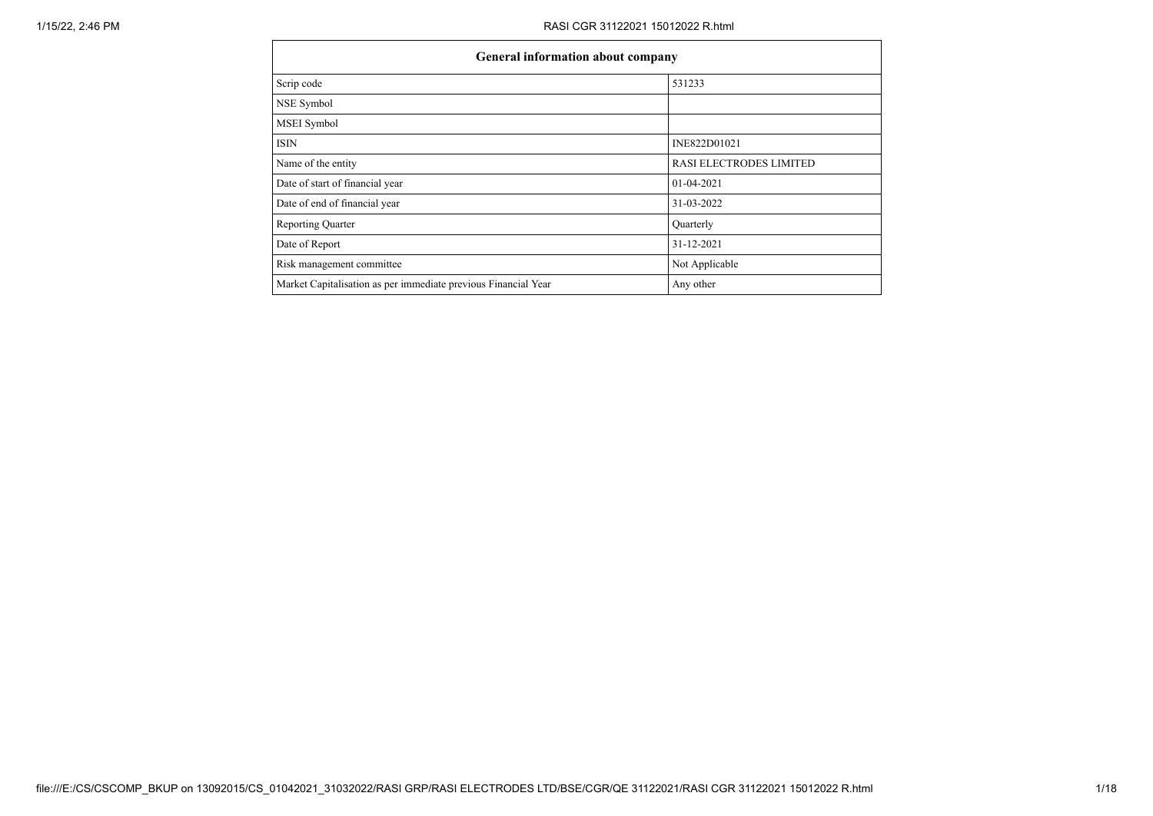| General information about company                              |                                |
|----------------------------------------------------------------|--------------------------------|
| Scrip code                                                     | 531233                         |
| NSE Symbol                                                     |                                |
| MSEI Symbol                                                    |                                |
| <b>ISIN</b>                                                    | INE822D01021                   |
| Name of the entity                                             | <b>RASI ELECTRODES LIMITED</b> |
| Date of start of financial year                                | 01-04-2021                     |
| Date of end of financial year                                  | 31-03-2022                     |
| <b>Reporting Quarter</b>                                       | Quarterly                      |
| Date of Report                                                 | 31-12-2021                     |
| Risk management committee                                      | Not Applicable                 |
| Market Capitalisation as per immediate previous Financial Year | Any other                      |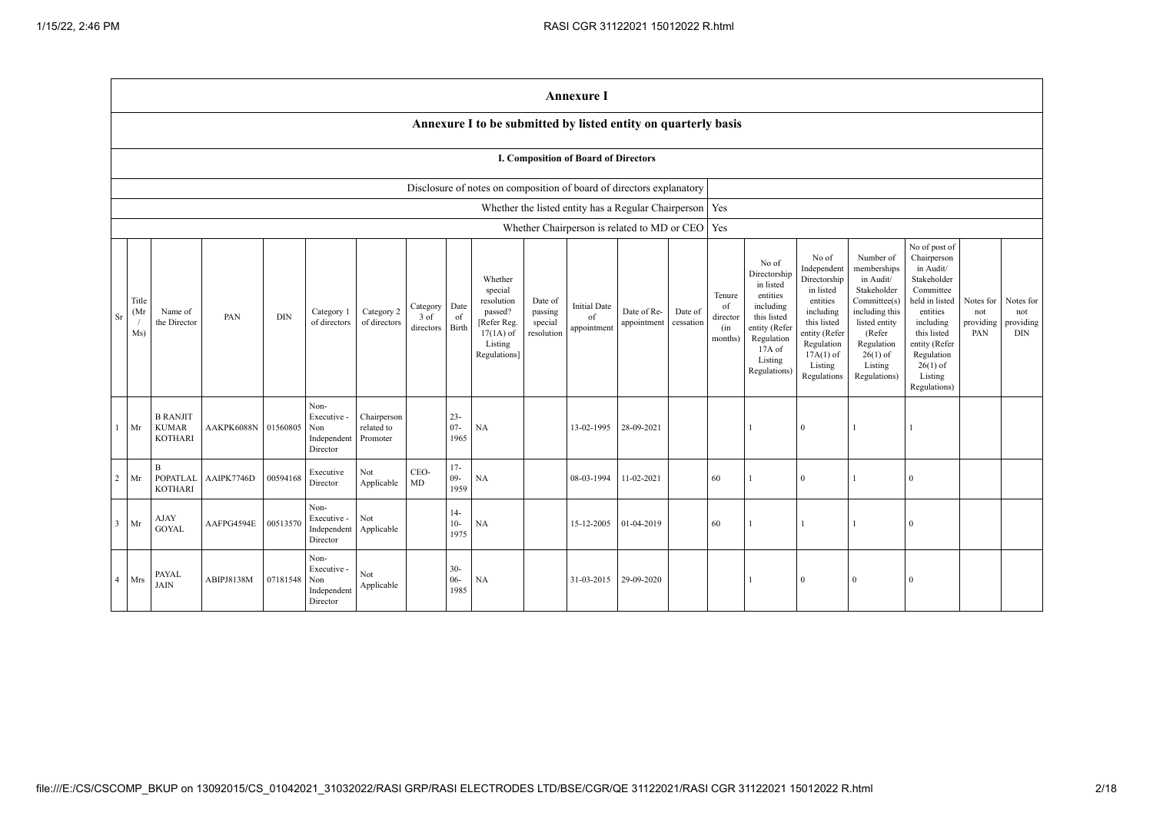|                |                     |                                                   |                     |            |                                                       |                                       |                               |                          |                                                                                                      |                                             | <b>Annexure I</b>                           |                                                           |                      |                                            |                                                                                                                                                |                                                                                                                                                                   |                                                                                                                                                                          |                                                                                                                                                                                                         |                                      |                                      |
|----------------|---------------------|---------------------------------------------------|---------------------|------------|-------------------------------------------------------|---------------------------------------|-------------------------------|--------------------------|------------------------------------------------------------------------------------------------------|---------------------------------------------|---------------------------------------------|-----------------------------------------------------------|----------------------|--------------------------------------------|------------------------------------------------------------------------------------------------------------------------------------------------|-------------------------------------------------------------------------------------------------------------------------------------------------------------------|--------------------------------------------------------------------------------------------------------------------------------------------------------------------------|---------------------------------------------------------------------------------------------------------------------------------------------------------------------------------------------------------|--------------------------------------|--------------------------------------|
|                |                     |                                                   |                     |            |                                                       |                                       |                               |                          | Annexure I to be submitted by listed entity on quarterly basis                                       |                                             |                                             |                                                           |                      |                                            |                                                                                                                                                |                                                                                                                                                                   |                                                                                                                                                                          |                                                                                                                                                                                                         |                                      |                                      |
|                |                     |                                                   |                     |            |                                                       |                                       |                               |                          |                                                                                                      |                                             | <b>I. Composition of Board of Directors</b> |                                                           |                      |                                            |                                                                                                                                                |                                                                                                                                                                   |                                                                                                                                                                          |                                                                                                                                                                                                         |                                      |                                      |
|                |                     |                                                   |                     |            |                                                       |                                       |                               |                          | Disclosure of notes on composition of board of directors explanatory                                 |                                             |                                             |                                                           |                      |                                            |                                                                                                                                                |                                                                                                                                                                   |                                                                                                                                                                          |                                                                                                                                                                                                         |                                      |                                      |
|                |                     |                                                   |                     |            |                                                       |                                       |                               |                          |                                                                                                      |                                             |                                             | Whether the listed entity has a Regular Chairperson   Yes |                      |                                            |                                                                                                                                                |                                                                                                                                                                   |                                                                                                                                                                          |                                                                                                                                                                                                         |                                      |                                      |
|                |                     |                                                   |                     |            |                                                       |                                       |                               |                          |                                                                                                      |                                             |                                             | Whether Chairperson is related to MD or CEO   Yes         |                      |                                            |                                                                                                                                                |                                                                                                                                                                   |                                                                                                                                                                          |                                                                                                                                                                                                         |                                      |                                      |
| Sr             | Title<br>(Mr<br>Ms) | Name of<br>the Director                           | PAN                 | <b>DIN</b> | Category 1<br>of directors                            | Category 2<br>of directors            | Category<br>3 of<br>directors | Date<br>of<br>Birth      | Whether<br>special<br>resolution<br>passed?<br>[Refer Reg.<br>$17(1A)$ of<br>Listing<br>Regulations] | Date of<br>passing<br>special<br>resolution | <b>Initial Date</b><br>of<br>appointment    | Date of Re-<br>appointment                                | Date of<br>cessation | Tenure<br>of<br>director<br>(in<br>months) | No of<br>Directorship<br>in listed<br>entities<br>including<br>this listed<br>entity (Refer<br>Regulation<br>17A of<br>Listing<br>Regulations) | No of<br>Independent<br>Directorship<br>in listed<br>entities<br>including<br>this listed<br>entity (Refer<br>Regulation<br>$17A(1)$ of<br>Listing<br>Regulations | Number of<br>memberships<br>in Audit/<br>Stakeholder<br>Committee(s)<br>including this<br>listed entity<br>(Refer<br>Regulation<br>$26(1)$ of<br>Listing<br>Regulations) | No of post of<br>Chairperson<br>in Audit/<br>Stakeholder<br>Committee<br>held in listed<br>entities<br>including<br>this listed<br>entity (Refer<br>Regulation<br>$26(1)$ of<br>Listing<br>Regulations) | Notes for<br>not<br>providing<br>PAN | Notes for<br>not<br>providing<br>DIN |
|                | Mr                  | <b>B RANJIT</b><br><b>KUMAR</b><br><b>KOTHARI</b> | AAKPK6088N 01560805 |            | Non-<br>Executive -<br>Non<br>Independent<br>Director | Chairperson<br>related to<br>Promoter |                               | $23 -$<br>$07 -$<br>1965 | NA                                                                                                   |                                             | 13-02-1995                                  | 28-09-2021                                                |                      |                                            | 1                                                                                                                                              | $\theta$                                                                                                                                                          |                                                                                                                                                                          |                                                                                                                                                                                                         |                                      |                                      |
| 2              | Mr                  | $\mathbf{B}$<br><b>POPATLAL</b><br><b>KOTHARI</b> | AAIPK7746D          | 00594168   | Executive<br>Director                                 | Not<br>Applicable                     | CEO-<br>MD                    | $17-$<br>$09 -$<br>1959  | NA                                                                                                   |                                             | 08-03-1994                                  | 11-02-2021                                                |                      | 60                                         |                                                                                                                                                | $\theta$                                                                                                                                                          |                                                                                                                                                                          | $\overline{0}$                                                                                                                                                                                          |                                      |                                      |
| $\overline{3}$ | Mr                  | AJAY<br><b>GOYAL</b>                              | AAFPG4594E          | 00513570   | Non-<br>Executive -<br>Independent<br>Director        | Not<br>Applicable                     |                               | $14-$<br>$10-$<br>1975   | NA                                                                                                   |                                             | 15-12-2005                                  | 01-04-2019                                                |                      | 60                                         | 1                                                                                                                                              | $\mathbf{1}$                                                                                                                                                      |                                                                                                                                                                          | $\Omega$                                                                                                                                                                                                |                                      |                                      |
| $\overline{4}$ | Mrs                 | PAYAL<br>$\text{JAIN}$                            | ABIPJ8138M          | 07181548   | Non-<br>Executive -<br>Non<br>Independent<br>Director | Not<br>Applicable                     |                               | $30 -$<br>$06 -$<br>1985 | NA                                                                                                   |                                             | 31-03-2015                                  | 29-09-2020                                                |                      |                                            | 1                                                                                                                                              | $\theta$                                                                                                                                                          | $\overline{0}$                                                                                                                                                           | $\Omega$                                                                                                                                                                                                |                                      |                                      |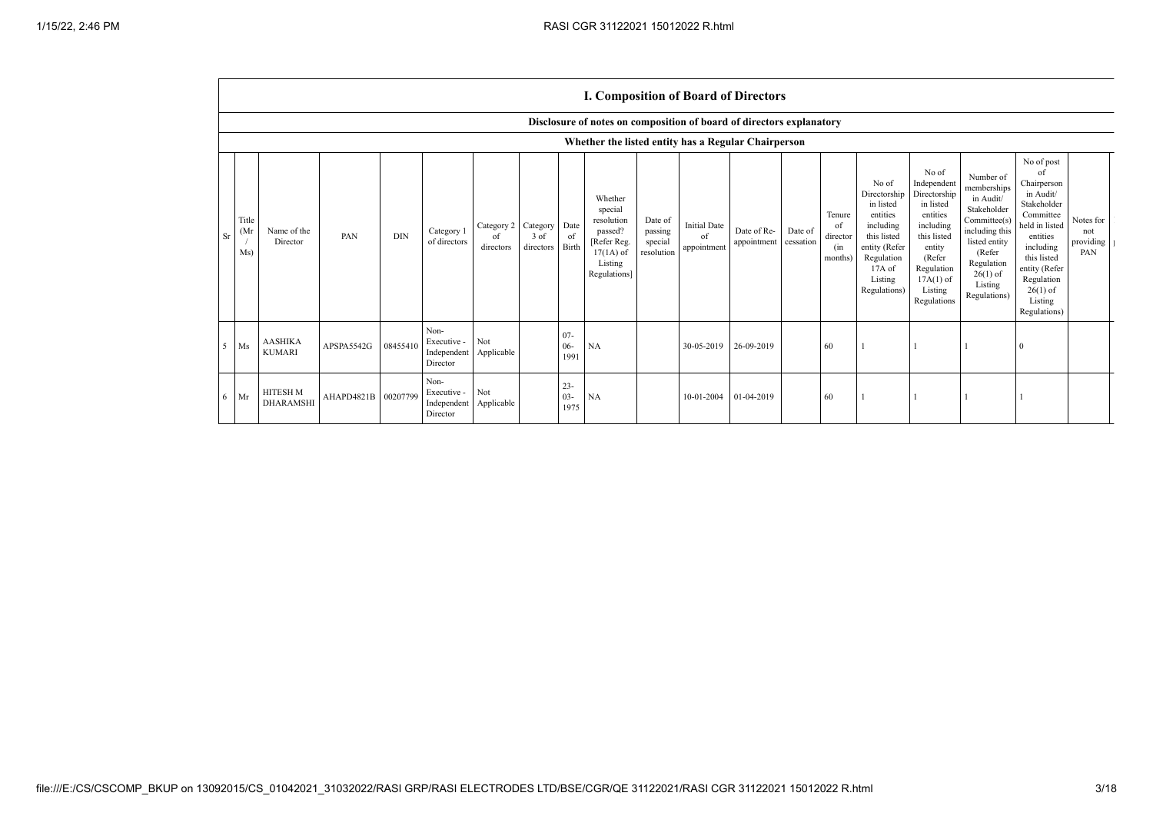|           |                                                                      |                                     |                     |            |                                                |                               |                               |                          | <b>I. Composition of Board of Directors</b>                                                          |                                             |                                          |                            |                      |                                            |                                                                                                                                                  |                                                                                                                                                                      |                                                                                                                                                                          |                                                                                                                                                                                                            |                                        |
|-----------|----------------------------------------------------------------------|-------------------------------------|---------------------|------------|------------------------------------------------|-------------------------------|-------------------------------|--------------------------|------------------------------------------------------------------------------------------------------|---------------------------------------------|------------------------------------------|----------------------------|----------------------|--------------------------------------------|--------------------------------------------------------------------------------------------------------------------------------------------------|----------------------------------------------------------------------------------------------------------------------------------------------------------------------|--------------------------------------------------------------------------------------------------------------------------------------------------------------------------|------------------------------------------------------------------------------------------------------------------------------------------------------------------------------------------------------------|----------------------------------------|
|           | Disclosure of notes on composition of board of directors explanatory |                                     |                     |            |                                                |                               |                               |                          |                                                                                                      |                                             |                                          |                            |                      |                                            |                                                                                                                                                  |                                                                                                                                                                      |                                                                                                                                                                          |                                                                                                                                                                                                            |                                        |
|           | Whether the listed entity has a Regular Chairperson                  |                                     |                     |            |                                                |                               |                               |                          |                                                                                                      |                                             |                                          |                            |                      |                                            |                                                                                                                                                  |                                                                                                                                                                      |                                                                                                                                                                          |                                                                                                                                                                                                            |                                        |
| <b>Sr</b> | Title<br>(Mr)<br>Ms)                                                 | Name of the<br>Director             | PAN                 | <b>DIN</b> | Category 1<br>of directors                     | Category 2<br>of<br>directors | Category<br>3 of<br>directors | Date<br>of<br>Birth      | Whether<br>special<br>resolution<br>passed?<br>[Refer Reg.<br>$17(1A)$ of<br>Listing<br>Regulations] | Date of<br>passing<br>special<br>resolution | <b>Initial Date</b><br>of<br>appointment | Date of Re-<br>appointment | Date of<br>cessation | Tenure<br>of<br>director<br>(in<br>months) | No of<br>Directorship<br>in listed<br>entities<br>including<br>this listed<br>entity (Refer<br>Regulation<br>$17A$ of<br>Listing<br>Regulations) | No of<br>Independent<br>Directorship<br>in listed<br>entities<br>including<br>this listed<br>entity<br>(Refer<br>Regulation<br>$17A(1)$ of<br>Listing<br>Regulations | Number of<br>memberships<br>in Audit/<br>Stakeholder<br>Committee(s)<br>including this<br>listed entity<br>(Refer<br>Regulation<br>$26(1)$ of<br>Listing<br>Regulations) | No of post<br>of<br>Chairperson<br>in Audit/<br>Stakeholder<br>Committee<br>held in listed<br>entities<br>including<br>this listed<br>entity (Refer<br>Regulation<br>$26(1)$ of<br>Listing<br>Regulations) | Notes for<br>not<br>providing 1<br>PAN |
| 5         | Ms                                                                   | <b>AASHIKA</b><br><b>KUMARI</b>     | APSPA5542G          | 08455410   | Non-<br>Executive -<br>Independent<br>Director | Not<br>Applicable             |                               | $07 -$<br>$06 -$<br>1991 | NA                                                                                                   |                                             | 30-05-2019                               | 26-09-2019                 |                      | 60                                         |                                                                                                                                                  |                                                                                                                                                                      |                                                                                                                                                                          | $\Omega$                                                                                                                                                                                                   |                                        |
| 6         | Mr                                                                   | <b>HITESH M</b><br><b>DHARAMSHI</b> | AHAPD4821B 00207799 |            | Non-<br>Executive -<br>Independent<br>Director | Not<br>Applicable             |                               | $23 -$<br>$03 -$<br>1975 | <b>NA</b>                                                                                            |                                             | 10-01-2004                               | 01-04-2019                 |                      | 60                                         |                                                                                                                                                  |                                                                                                                                                                      |                                                                                                                                                                          |                                                                                                                                                                                                            |                                        |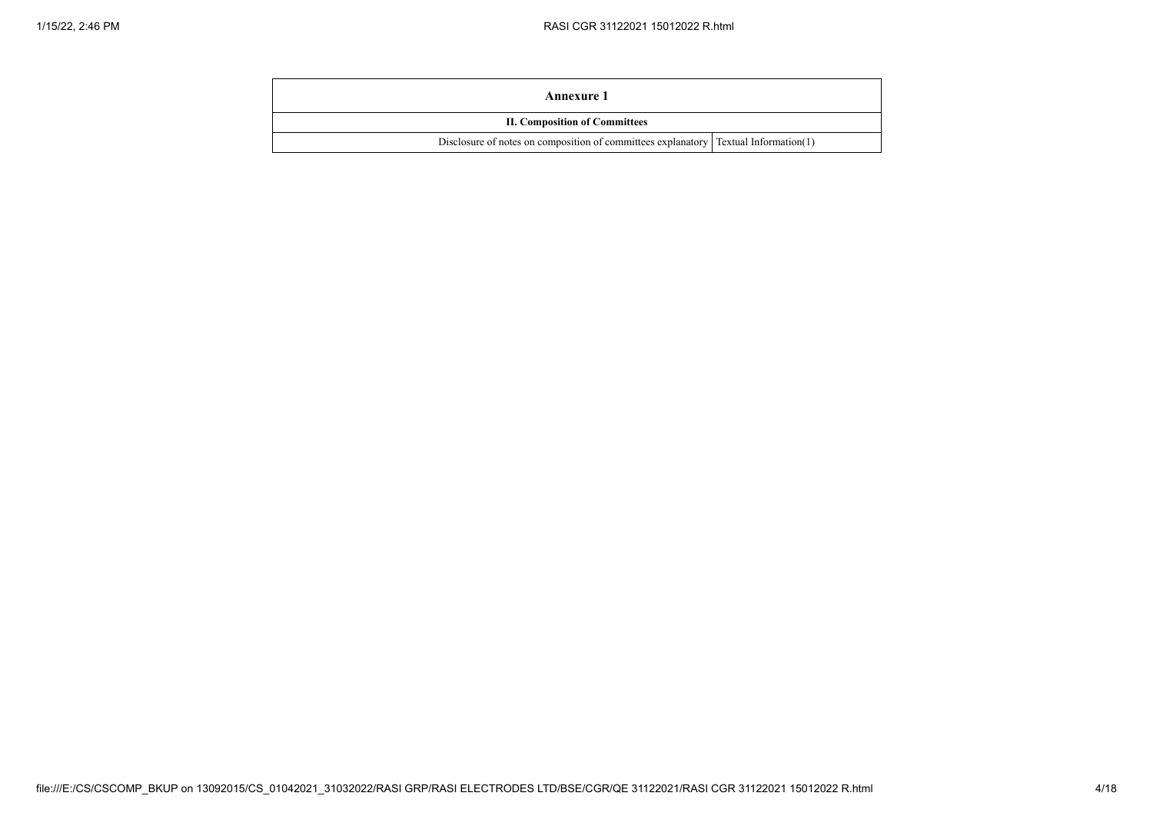| Annexure 1                                                                            |  |
|---------------------------------------------------------------------------------------|--|
| <b>II. Composition of Committees</b>                                                  |  |
| Disclosure of notes on composition of committees explanatory   Textual Information(1) |  |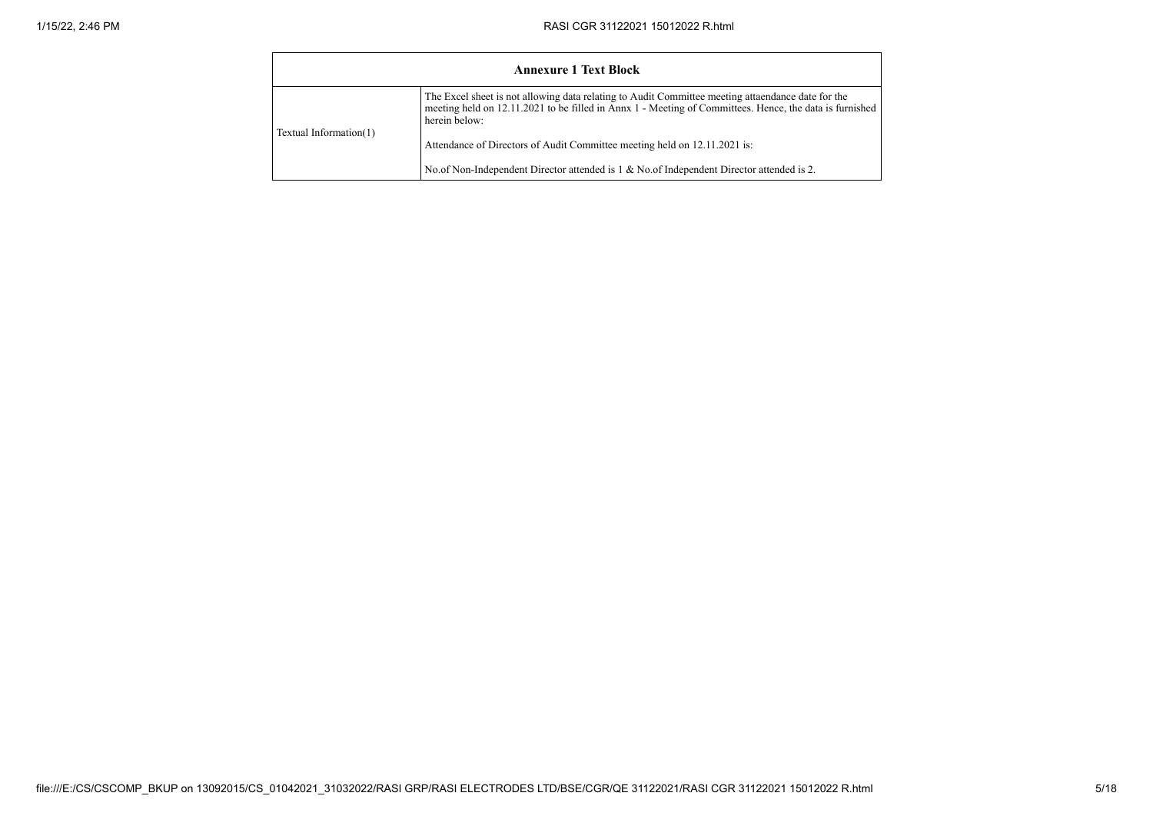|                        | <b>Annexure 1 Text Block</b>                                                                                                                                                                                                  |
|------------------------|-------------------------------------------------------------------------------------------------------------------------------------------------------------------------------------------------------------------------------|
|                        | The Excel sheet is not allowing data relating to Audit Committee meeting attaendance date for the<br>meeting held on 12.11.2021 to be filled in Annx 1 - Meeting of Committees. Hence, the data is furnished<br>herein below: |
| Textual Information(1) | Attendance of Directors of Audit Committee meeting held on 12.11.2021 is:                                                                                                                                                     |
|                        | No.of Non-Independent Director attended is 1 & No.of Independent Director attended is 2.                                                                                                                                      |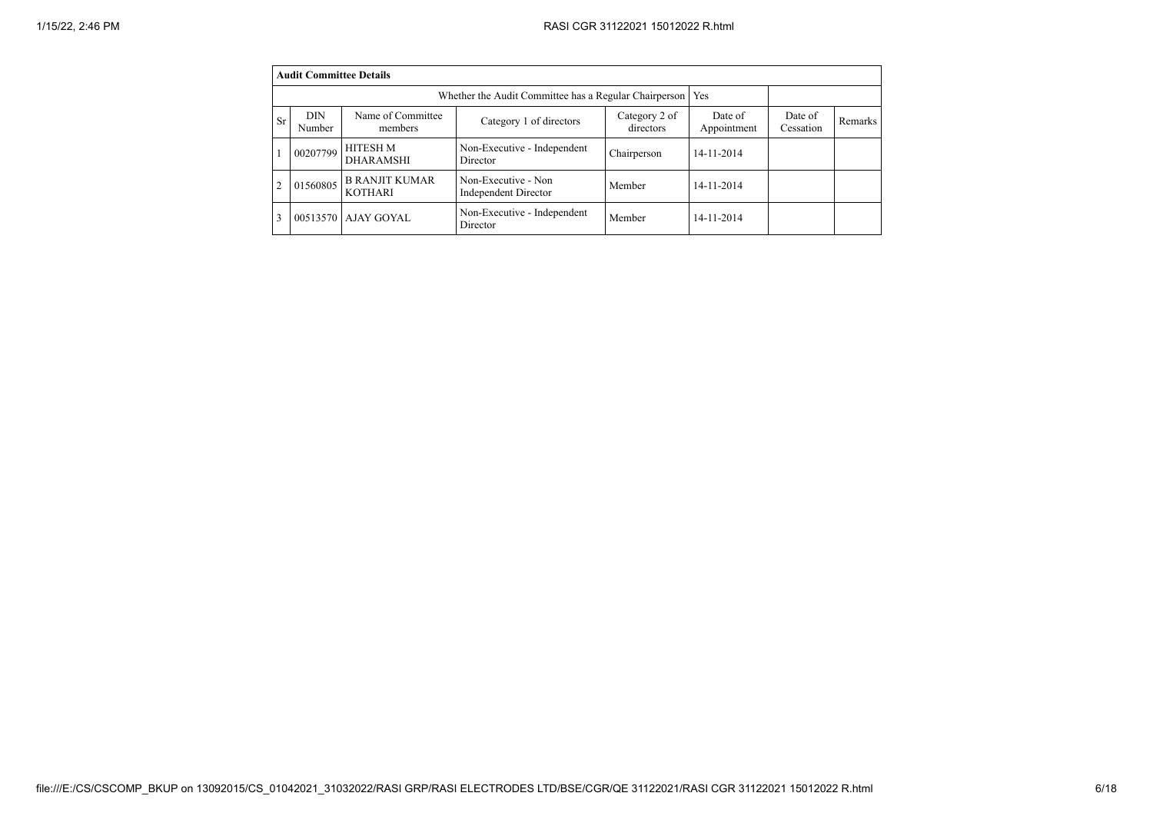|                                                                                                                                                                           | <b>Audit Committee Details</b>                               |                                         |                                             |             |            |  |  |  |  |  |  |
|---------------------------------------------------------------------------------------------------------------------------------------------------------------------------|--------------------------------------------------------------|-----------------------------------------|---------------------------------------------|-------------|------------|--|--|--|--|--|--|
|                                                                                                                                                                           | Yes<br>Whether the Audit Committee has a Regular Chairperson |                                         |                                             |             |            |  |  |  |  |  |  |
| DIN<br>Name of Committee<br>Category 2 of<br>Date of<br>Date of<br>Category 1 of directors<br>Sr<br>Remarks<br>Appointment<br>directors<br>Cessation<br>Number<br>members |                                                              |                                         |                                             |             |            |  |  |  |  |  |  |
|                                                                                                                                                                           | 00207799                                                     | <b>HITESH M</b><br><b>DHARAMSHI</b>     | Non-Executive - Independent<br>Director     | Chairperson | 14-11-2014 |  |  |  |  |  |  |
|                                                                                                                                                                           | 01560805                                                     | <b>B RANJIT KUMAR</b><br><b>KOTHARI</b> | Non-Executive - Non<br>Independent Director | Member      | 14-11-2014 |  |  |  |  |  |  |
|                                                                                                                                                                           |                                                              | 00513570 AJAY GOYAL                     | Non-Executive - Independent<br>Director     | Member      | 14-11-2014 |  |  |  |  |  |  |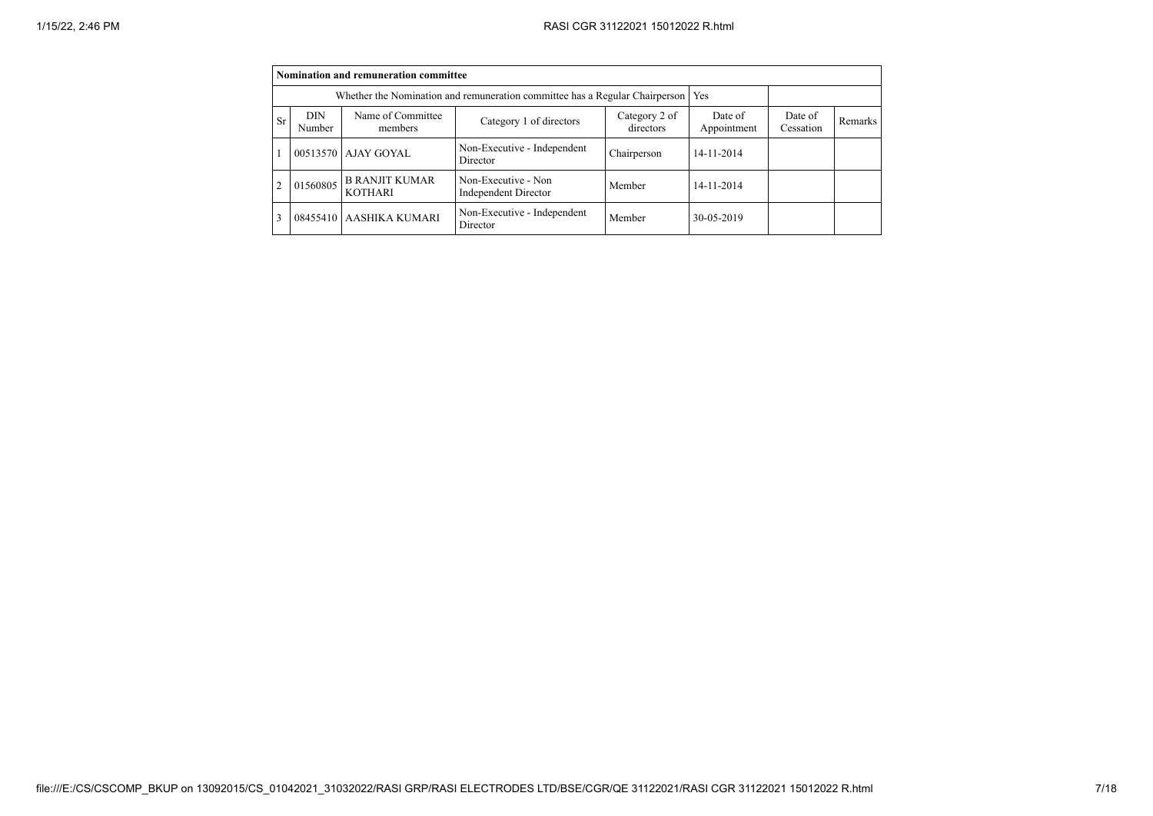|    | Nomination and remuneration committee                                                                                                                                      |                                         |                                             |             |            |  |  |  |  |  |  |  |
|----|----------------------------------------------------------------------------------------------------------------------------------------------------------------------------|-----------------------------------------|---------------------------------------------|-------------|------------|--|--|--|--|--|--|--|
|    | Whether the Nomination and remuneration committee has a Regular Chairperson<br>Yes                                                                                         |                                         |                                             |             |            |  |  |  |  |  |  |  |
| Sr | Name of Committee<br><b>DIN</b><br>Category 2 of<br>Date of<br>Date of<br>Category 1 of directors<br>Remarks<br>directors<br>Appointment<br>Cessation<br>Number<br>members |                                         |                                             |             |            |  |  |  |  |  |  |  |
|    |                                                                                                                                                                            | 00513570 AJAY GOYAL                     | Non-Executive - Independent<br>Director     | Chairperson | 14-11-2014 |  |  |  |  |  |  |  |
|    | 01560805                                                                                                                                                                   | <b>B RANJIT KUMAR</b><br><b>KOTHARI</b> | Non-Executive - Non<br>Independent Director | Member      | 14-11-2014 |  |  |  |  |  |  |  |
|    |                                                                                                                                                                            | 08455410 AASHIKA KUMARI                 | Non-Executive - Independent<br>Director     | Member      | 30-05-2019 |  |  |  |  |  |  |  |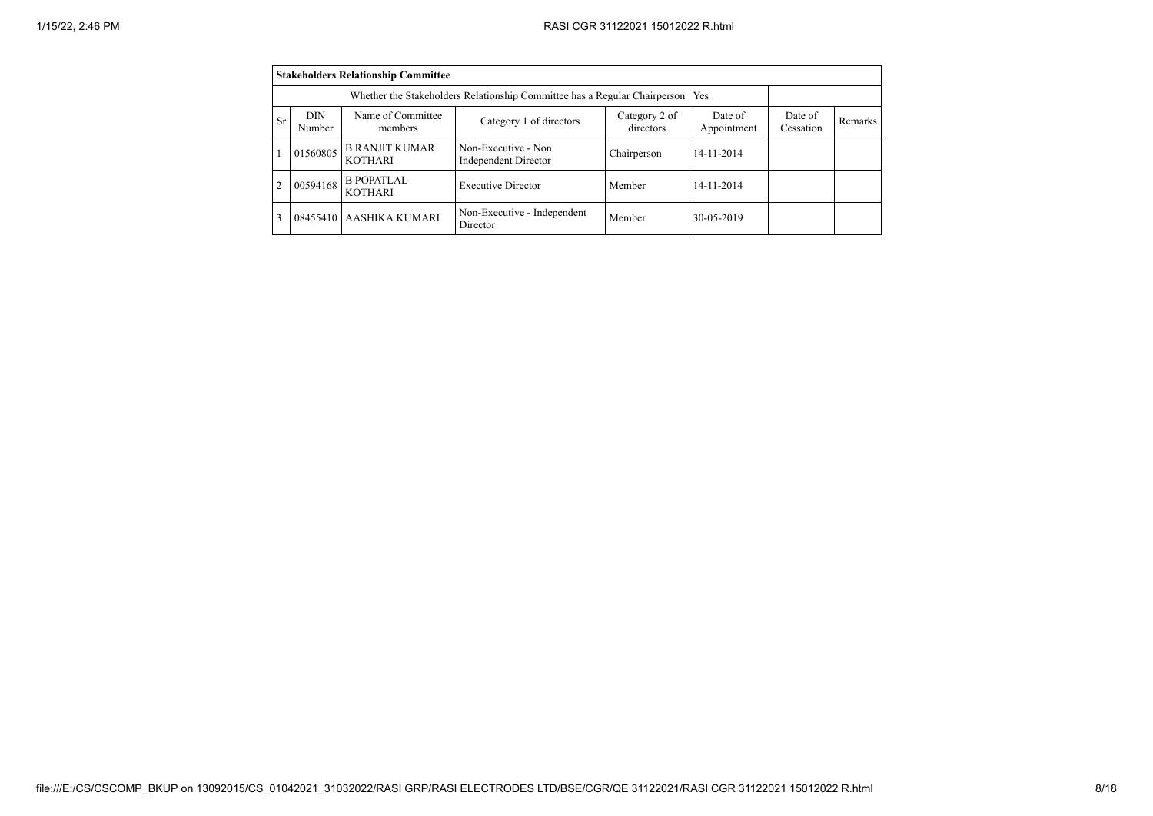|                                                                                                                                                                           |          | <b>Stakeholders Relationship Committee</b> |                                                                           |             |            |  |  |  |  |  |  |
|---------------------------------------------------------------------------------------------------------------------------------------------------------------------------|----------|--------------------------------------------|---------------------------------------------------------------------------|-------------|------------|--|--|--|--|--|--|
|                                                                                                                                                                           |          |                                            | Whether the Stakeholders Relationship Committee has a Regular Chairperson |             | Yes        |  |  |  |  |  |  |
| Name of Committee<br>DIN<br>Category 2 of<br>Date of<br>Date of<br>Category 1 of directors<br>Sr<br>Remarks<br>directors<br>Appointment<br>Cessation<br>Number<br>members |          |                                            |                                                                           |             |            |  |  |  |  |  |  |
|                                                                                                                                                                           | 01560805 | <b>B RANJIT KUMAR</b><br><b>KOTHARI</b>    | Non-Executive - Non<br><b>Independent Director</b>                        | Chairperson | 14-11-2014 |  |  |  |  |  |  |
|                                                                                                                                                                           | 00594168 | <b>B POPATLAL</b><br><b>KOTHARI</b>        | <b>Executive Director</b>                                                 | Member      | 14-11-2014 |  |  |  |  |  |  |
|                                                                                                                                                                           |          | 08455410 AASHIKA KUMARI                    | Non-Executive - Independent<br>Director                                   | Member      | 30-05-2019 |  |  |  |  |  |  |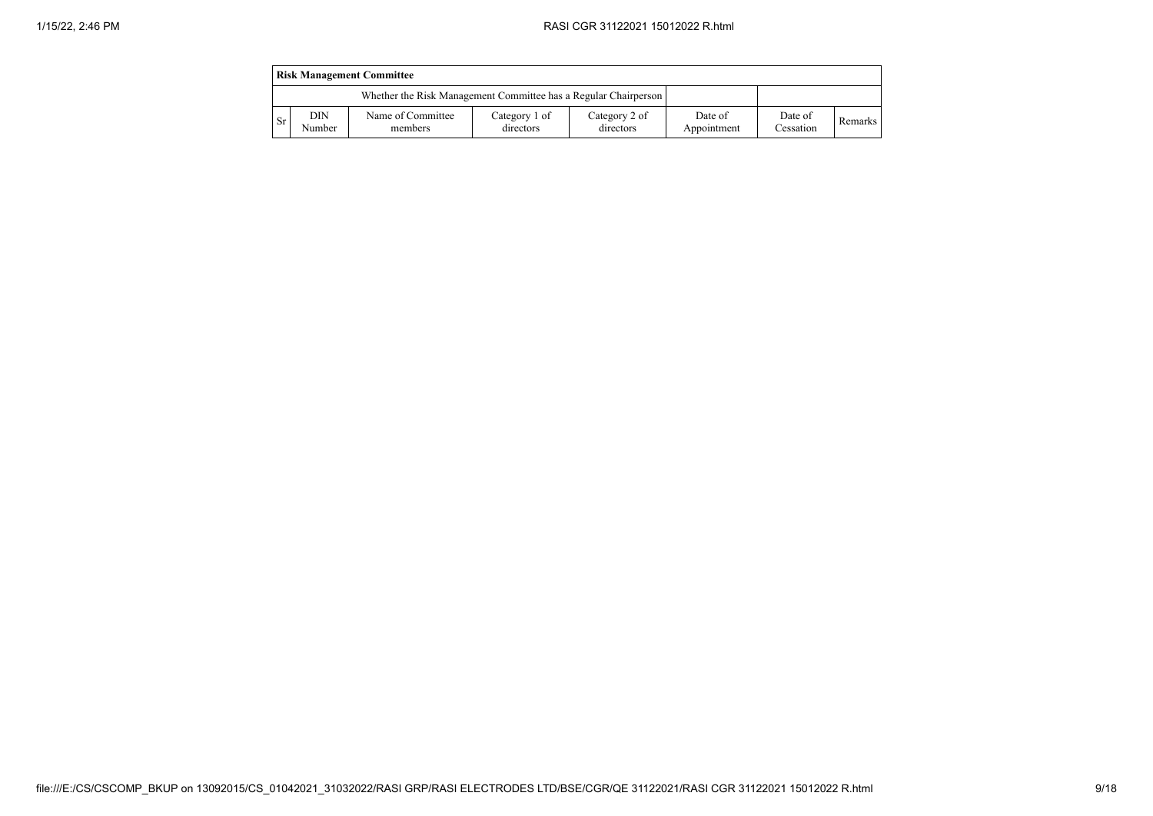|      | <b>Risk Management Committee</b>                                |                              |                            |                            |                        |                      |                |  |  |  |  |  |
|------|-----------------------------------------------------------------|------------------------------|----------------------------|----------------------------|------------------------|----------------------|----------------|--|--|--|--|--|
|      | Whether the Risk Management Committee has a Regular Chairperson |                              |                            |                            |                        |                      |                |  |  |  |  |  |
| - Sr | DIN<br>Number                                                   | Name of Committee<br>members | Category 1 of<br>directors | Category 2 of<br>directors | Date of<br>Appointment | Date of<br>Cessation | <b>Remarks</b> |  |  |  |  |  |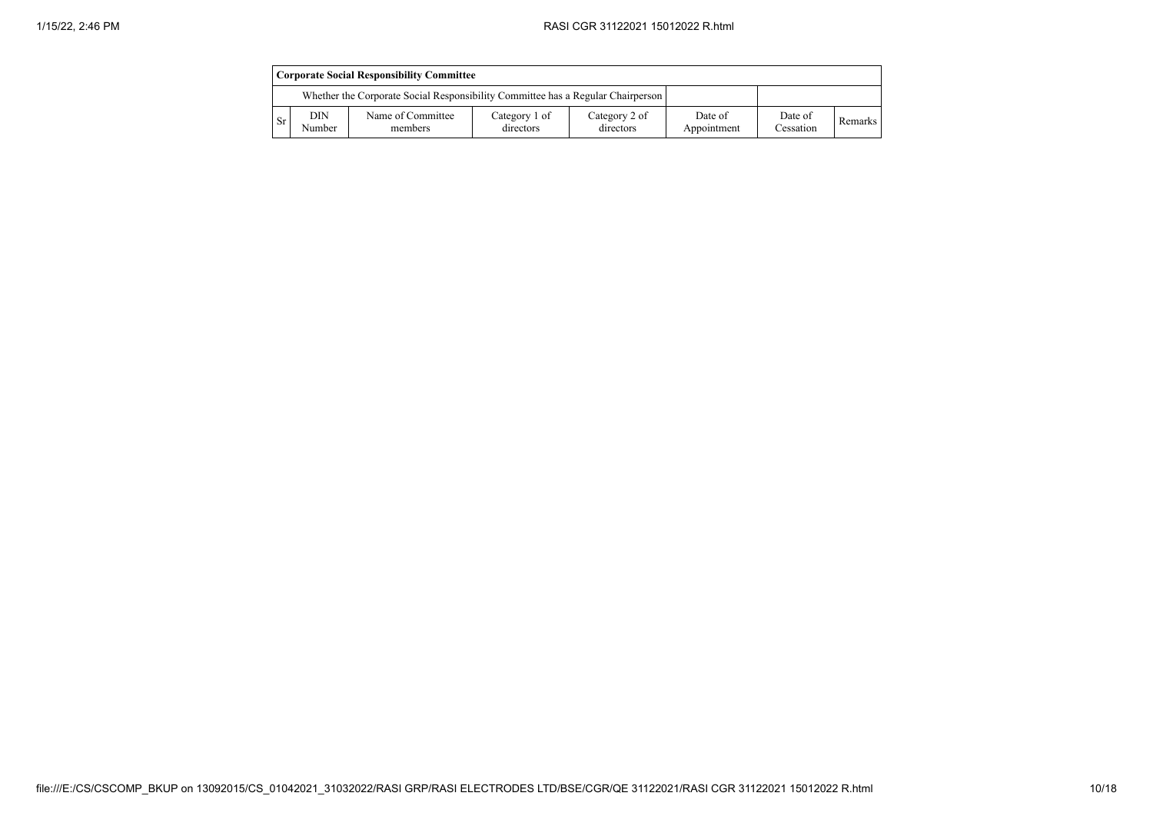|           | <b>Corporate Social Responsibility Committee</b> |                                                                                 |                            |                            |                        |                      |                |  |  |  |  |
|-----------|--------------------------------------------------|---------------------------------------------------------------------------------|----------------------------|----------------------------|------------------------|----------------------|----------------|--|--|--|--|
|           |                                                  | Whether the Corporate Social Responsibility Committee has a Regular Chairperson |                            |                            |                        |                      |                |  |  |  |  |
| <b>Sr</b> | DIN<br>Number                                    | Name of Committee<br>members                                                    | Category 1 of<br>directors | Category 2 of<br>directors | Date of<br>Appointment | Date of<br>Cessation | <b>Remarks</b> |  |  |  |  |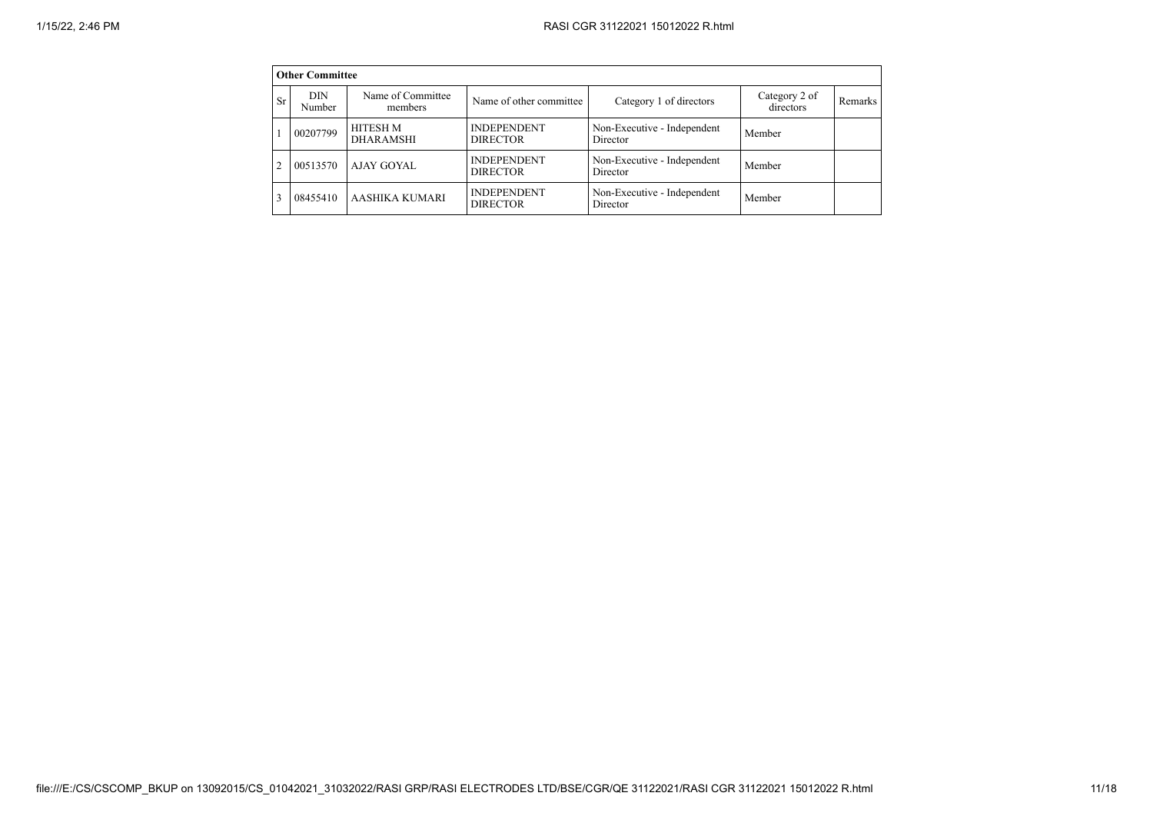|           | <b>Other Committee</b> |                              |                                       |                                         |                            |         |
|-----------|------------------------|------------------------------|---------------------------------------|-----------------------------------------|----------------------------|---------|
| <b>Sr</b> | DIN<br>Number          | Name of Committee<br>members | Name of other committee               | Category 1 of directors                 | Category 2 of<br>directors | Remarks |
|           | 00207799               | HITESH M<br><b>DHARAMSHI</b> | <b>INDEPENDENT</b><br><b>DIRECTOR</b> | Non-Executive - Independent<br>Director | Member                     |         |
| 2         | 00513570               | AJAY GOYAL                   | <b>INDEPENDENT</b><br><b>DIRECTOR</b> | Non-Executive - Independent<br>Director | Member                     |         |
| 3         | 08455410               | <b>AASHIKA KUMARI</b>        | <b>INDEPENDENT</b><br><b>DIRECTOR</b> | Non-Executive - Independent<br>Director | Member                     |         |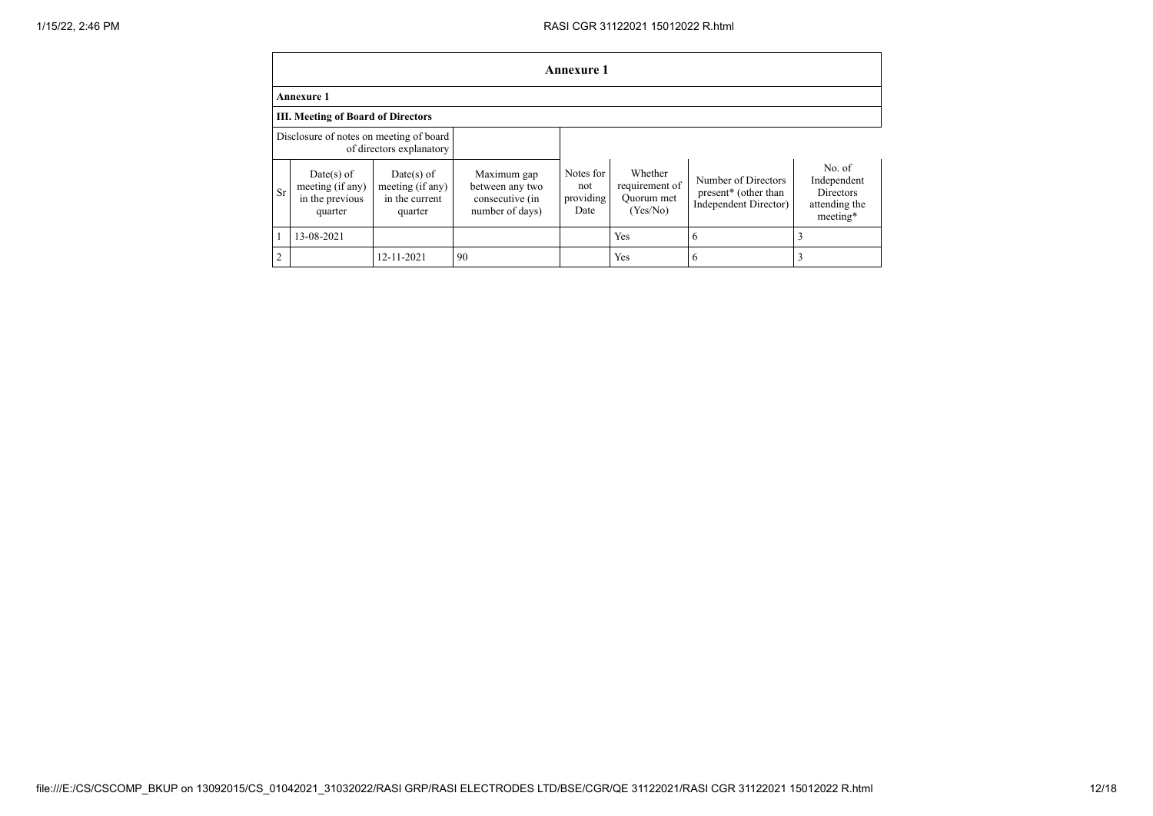|                | <b>Annexure 1</b>                                              |                                                               |                                                                      |                                       |                                                     |                                                                                  |                                                                        |  |  |  |  |  |
|----------------|----------------------------------------------------------------|---------------------------------------------------------------|----------------------------------------------------------------------|---------------------------------------|-----------------------------------------------------|----------------------------------------------------------------------------------|------------------------------------------------------------------------|--|--|--|--|--|
|                | <b>Annexure 1</b>                                              |                                                               |                                                                      |                                       |                                                     |                                                                                  |                                                                        |  |  |  |  |  |
|                | <b>III. Meeting of Board of Directors</b>                      |                                                               |                                                                      |                                       |                                                     |                                                                                  |                                                                        |  |  |  |  |  |
|                | Disclosure of notes on meeting of board                        | of directors explanatory                                      |                                                                      |                                       |                                                     |                                                                                  |                                                                        |  |  |  |  |  |
| Sr             | $Date(s)$ of<br>meeting (if any)<br>in the previous<br>quarter | $Date(s)$ of<br>meeting (if any)<br>in the current<br>quarter | Maximum gap<br>between any two<br>consecutive (in<br>number of days) | Notes for<br>not<br>providing<br>Date | Whether<br>requirement of<br>Ouorum met<br>(Yes/No) | Number of Directors<br>present <sup>*</sup> (other than<br>Independent Director) | No. of<br>Independent<br><b>Directors</b><br>attending the<br>meeting* |  |  |  |  |  |
|                | 13-08-2021                                                     |                                                               |                                                                      |                                       | Yes                                                 | 6                                                                                | 3                                                                      |  |  |  |  |  |
| $\overline{2}$ |                                                                | 12-11-2021                                                    | 90                                                                   |                                       | Yes                                                 | 6                                                                                |                                                                        |  |  |  |  |  |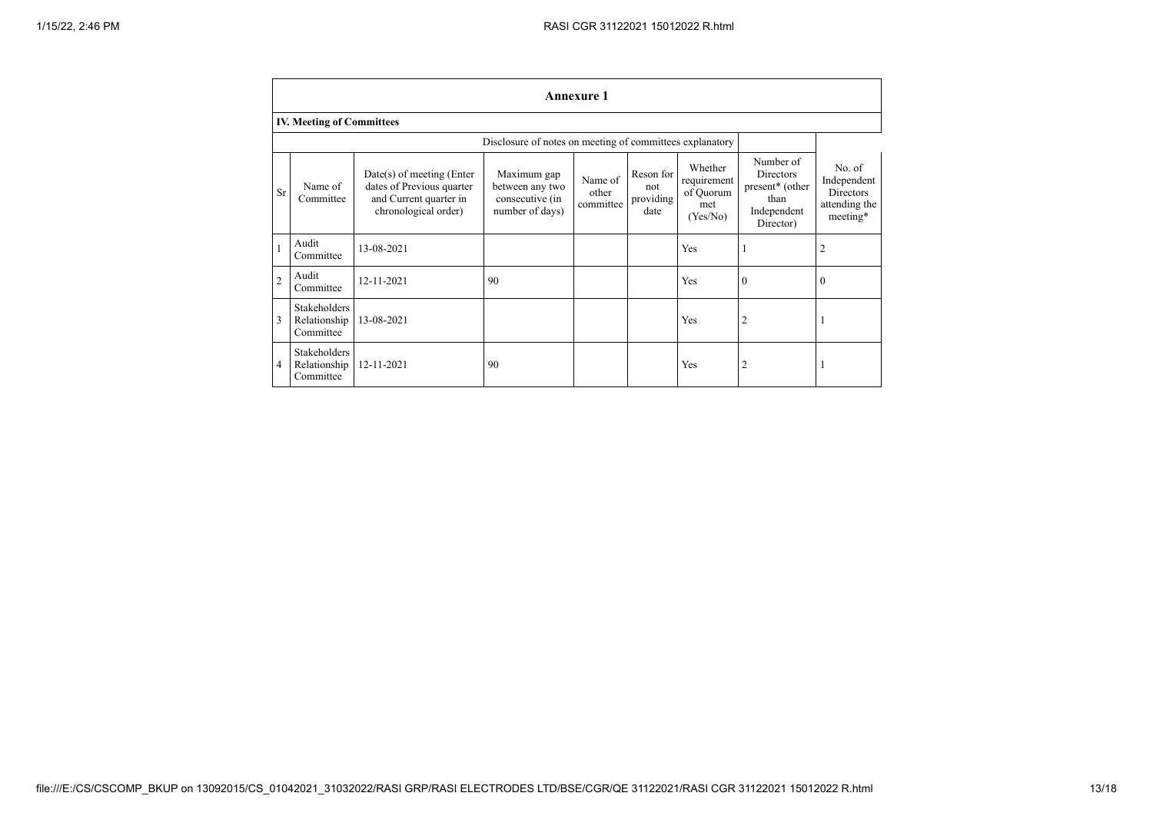|                | <b>Annexure 1</b>                                        |                                                                                                            |                                                                      |                               |                                       |                                                        |                                                                                           |                                                                        |
|----------------|----------------------------------------------------------|------------------------------------------------------------------------------------------------------------|----------------------------------------------------------------------|-------------------------------|---------------------------------------|--------------------------------------------------------|-------------------------------------------------------------------------------------------|------------------------------------------------------------------------|
|                | <b>IV. Meeting of Committees</b>                         |                                                                                                            |                                                                      |                               |                                       |                                                        |                                                                                           |                                                                        |
|                | Disclosure of notes on meeting of committees explanatory |                                                                                                            |                                                                      |                               |                                       |                                                        |                                                                                           |                                                                        |
| <b>Sr</b>      | Name of<br>Committee                                     | $Date(s)$ of meeting (Enter<br>dates of Previous quarter<br>and Current quarter in<br>chronological order) | Maximum gap<br>between any two<br>consecutive (in<br>number of days) | Name of<br>other<br>committee | Reson for<br>not<br>providing<br>date | Whether<br>requirement<br>of Quorum<br>met<br>(Yes/No) | Number of<br>Directors<br>present <sup>*</sup> (other<br>than<br>Independent<br>Director) | No. of<br>Independent<br><b>Directors</b><br>attending the<br>meeting* |
|                | Audit<br>Committee                                       | 13-08-2021                                                                                                 |                                                                      |                               |                                       | Yes                                                    | 1                                                                                         | $\overline{2}$                                                         |
| $\overline{c}$ | Audit<br>Committee                                       | 12-11-2021                                                                                                 | 90                                                                   |                               |                                       | Yes                                                    | $\Omega$                                                                                  | $\Omega$                                                               |
| 3              | Stakeholders<br>Relationship<br>Committee                | 13-08-2021                                                                                                 |                                                                      |                               |                                       | Yes                                                    | 2                                                                                         |                                                                        |
| $\overline{4}$ | <b>Stakeholders</b><br>Relationship<br>Committee         | 12-11-2021                                                                                                 | 90                                                                   |                               |                                       | Yes                                                    | 2                                                                                         |                                                                        |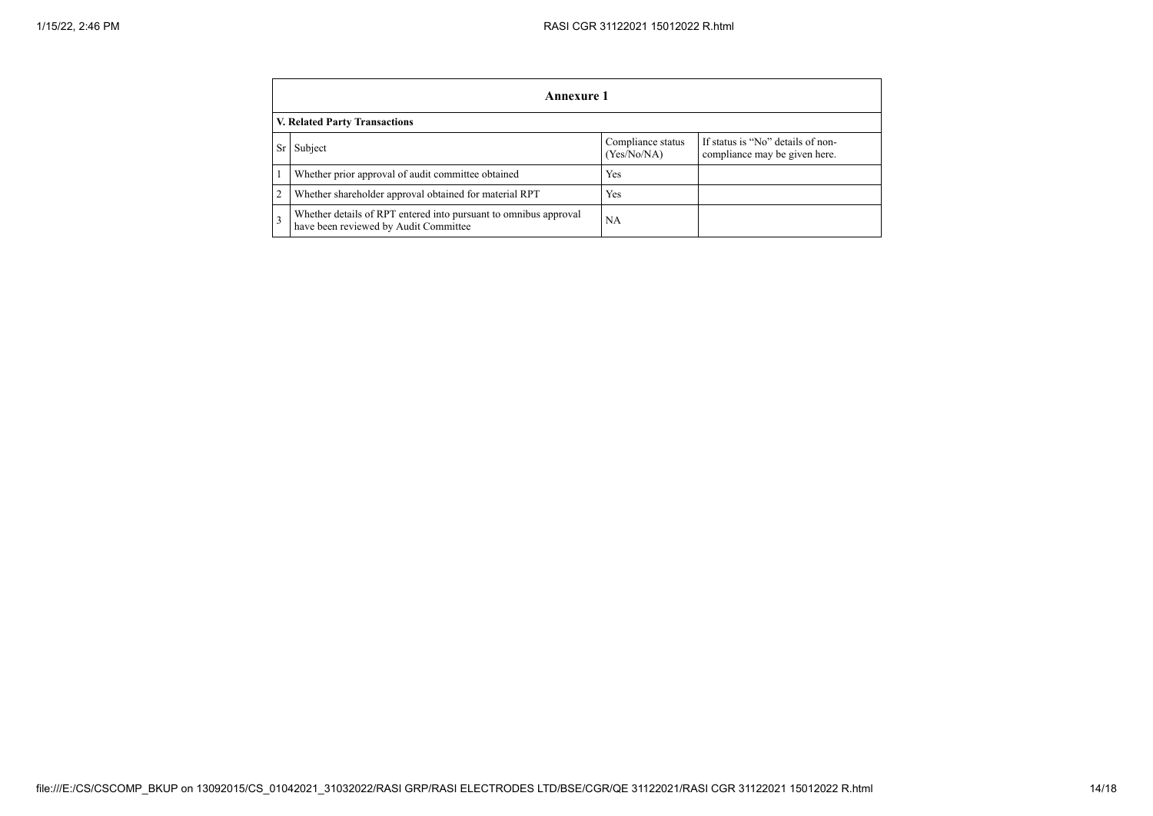| Annexure 1                    |                                                                                                           |                                  |                                                                    |  |
|-------------------------------|-----------------------------------------------------------------------------------------------------------|----------------------------------|--------------------------------------------------------------------|--|
| V. Related Party Transactions |                                                                                                           |                                  |                                                                    |  |
| Sr I                          | Subject                                                                                                   | Compliance status<br>(Yes/No/NA) | If status is "No" details of non-<br>compliance may be given here. |  |
|                               | Whether prior approval of audit committee obtained                                                        | Yes                              |                                                                    |  |
| 2                             | Whether shareholder approval obtained for material RPT                                                    | Yes                              |                                                                    |  |
| 3                             | Whether details of RPT entered into pursuant to omnibus approval<br>have been reviewed by Audit Committee | NA                               |                                                                    |  |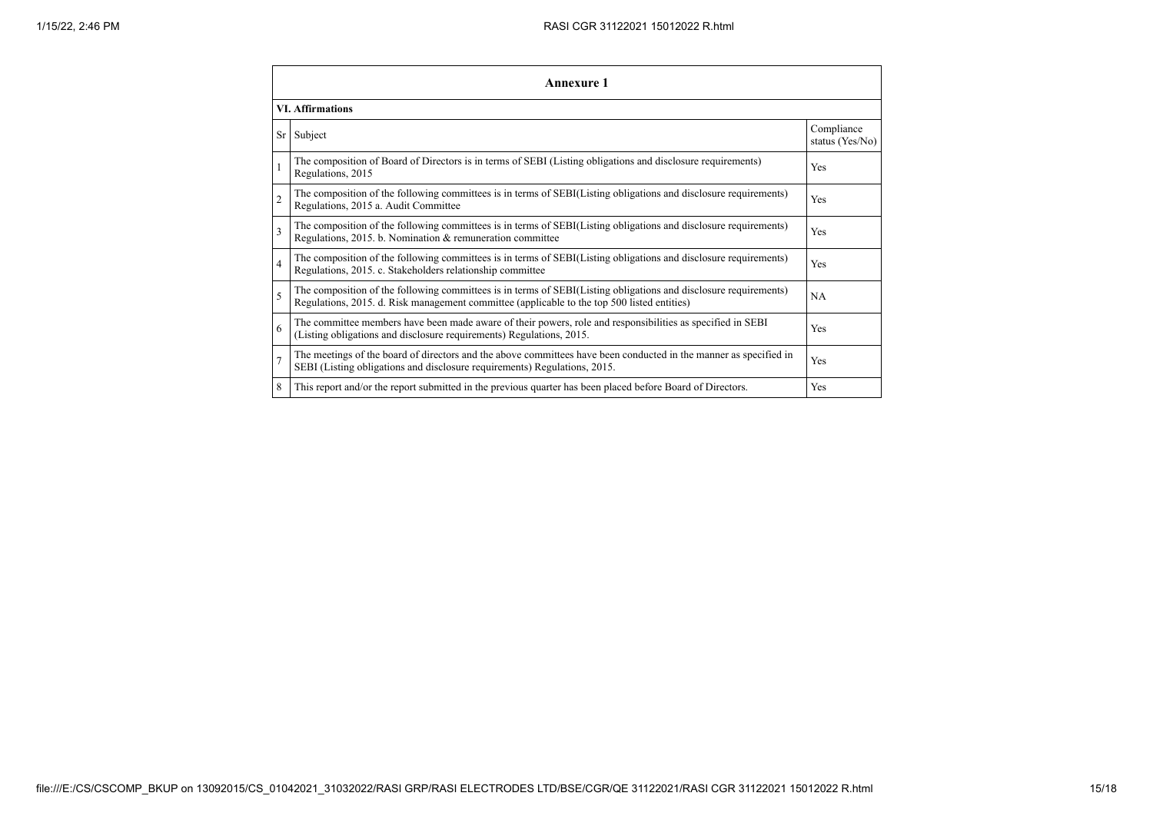| Annexure 1              |                                                                                                                                                                                                                 |           |  |  |
|-------------------------|-----------------------------------------------------------------------------------------------------------------------------------------------------------------------------------------------------------------|-----------|--|--|
| <b>VI.</b> Affirmations |                                                                                                                                                                                                                 |           |  |  |
|                         | Sr Subject                                                                                                                                                                                                      |           |  |  |
|                         | The composition of Board of Directors is in terms of SEBI (Listing obligations and disclosure requirements)<br>Yes<br>Regulations, 2015                                                                         |           |  |  |
| $\overline{c}$          | The composition of the following committees is in terms of SEBI(Listing obligations and disclosure requirements)<br>Regulations, 2015 a. Audit Committee                                                        | Yes       |  |  |
| 3                       | The composition of the following committees is in terms of SEBI(Listing obligations and disclosure requirements)<br>Regulations, 2015. b. Nomination & remuneration committee                                   | Yes       |  |  |
| $\overline{4}$          | The composition of the following committees is in terms of SEBI(Listing obligations and disclosure requirements)<br>Regulations, 2015. c. Stakeholders relationship committee                                   | Yes       |  |  |
| 5                       | The composition of the following committees is in terms of SEBI(Listing obligations and disclosure requirements)<br>Regulations, 2015. d. Risk management committee (applicable to the top 500 listed entities) | <b>NA</b> |  |  |
| 6                       | The committee members have been made aware of their powers, role and responsibilities as specified in SEBI<br>(Listing obligations and disclosure requirements) Regulations, 2015.                              | Yes       |  |  |
|                         | The meetings of the board of directors and the above committees have been conducted in the manner as specified in<br>SEBI (Listing obligations and disclosure requirements) Regulations, 2015.                  | Yes       |  |  |
| 8                       | This report and/or the report submitted in the previous quarter has been placed before Board of Directors.                                                                                                      | Yes       |  |  |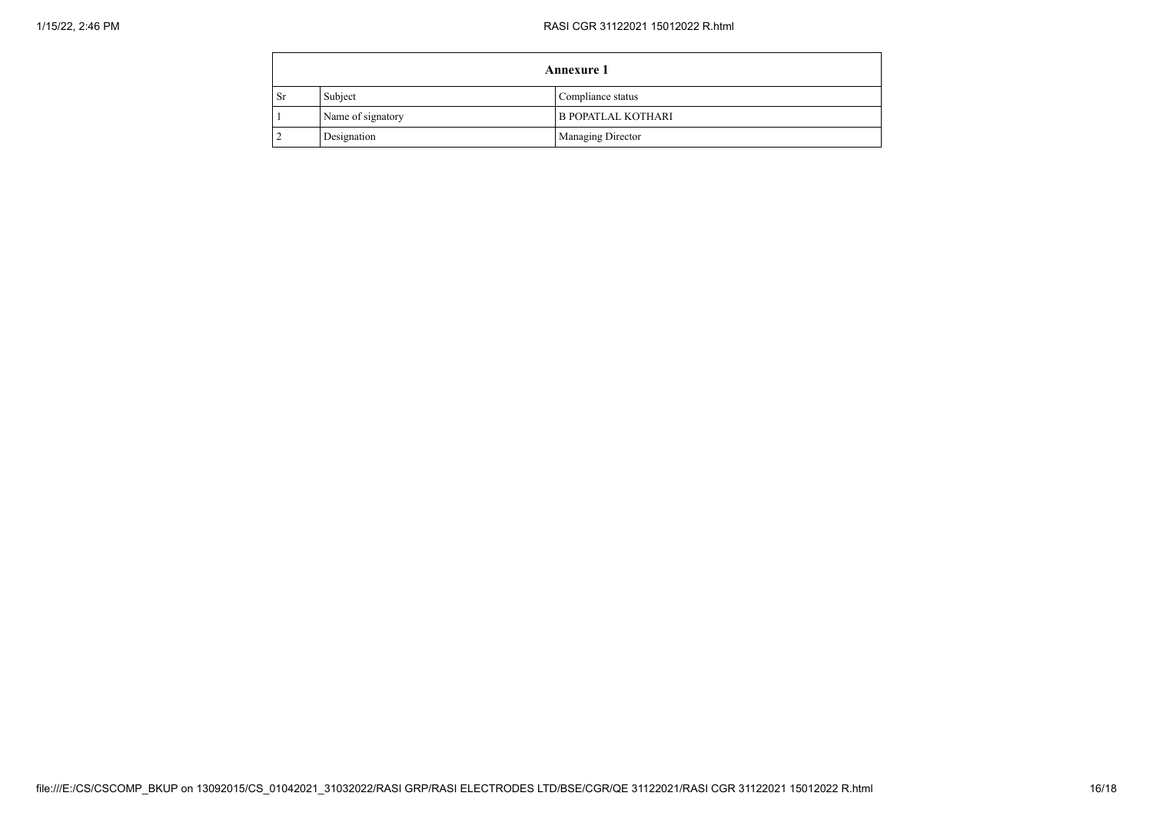|      | <b>Annexure 1</b> |                           |  |
|------|-------------------|---------------------------|--|
| . Sr | Subject           | Compliance status         |  |
|      | Name of signatory | <b>B POPATLAL KOTHARI</b> |  |
|      | Designation       | Managing Director         |  |